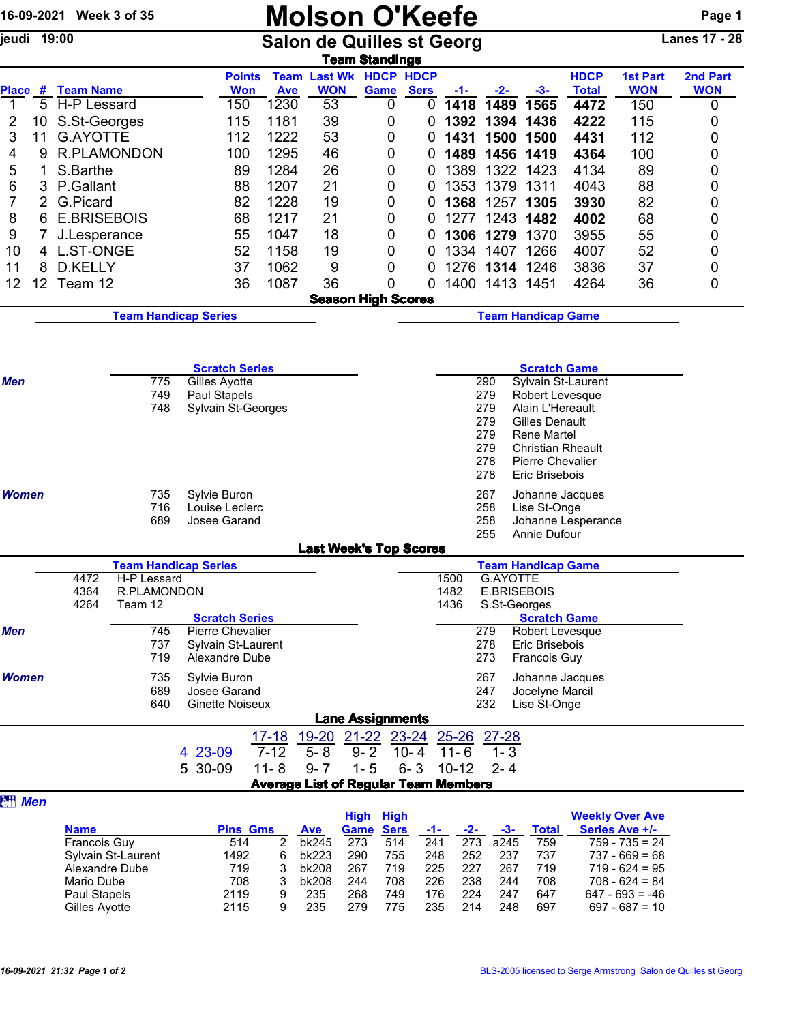| 16-09-2021 Week 3 of 35                |                                |                             |                                        |                       | <b>Molson O'Keefe</b>                       |                                                   |                            |              |                                |                                      |                             |                                      | Page 1                 |
|----------------------------------------|--------------------------------|-----------------------------|----------------------------------------|-----------------------|---------------------------------------------|---------------------------------------------------|----------------------------|--------------|--------------------------------|--------------------------------------|-----------------------------|--------------------------------------|------------------------|
| jeudi 19:00                            |                                |                             |                                        |                       | <b>Salon de Quilles st Georg</b>            | <b>Team Standings</b>                             |                            |              |                                |                                      |                             |                                      | Lanes 17 - 28          |
|                                        |                                |                             | <b>Points</b><br><b>Won</b>            |                       | <b>Team Last Wk HDCP HDCP</b><br><b>WON</b> |                                                   |                            |              |                                |                                      | <b>HDCP</b><br><b>Total</b> | <b>1st Part</b><br><b>WON</b>        | 2nd Part<br><b>WON</b> |
| Place # Team Name<br>5<br>$\mathbf{1}$ | H-P Lessard                    |                             | 150                                    | <b>Ave</b><br>1230    | 53                                          | Game<br>0                                         | <b>Sers</b><br>$\mathbf 0$ | -1-<br>1418  | $-2-$<br>1489                  | $-3-$<br>1565                        | 4472                        | 150                                  | 0                      |
| $\overline{2}$<br>10                   | S.St-Georges                   |                             | 115                                    | 1181                  | 39                                          | 0                                                 | 0                          | 1392         | 1394                           | 1436                                 | 4222                        | 115                                  | 0                      |
| 3<br>11                                | <b>G.AYOTTE</b>                |                             | 112                                    | 1222                  | 53                                          | 0                                                 | 0                          | 1431         | 1500                           | 1500                                 | 4431                        | 112                                  | 0                      |
| 4<br>9                                 |                                | <b>R.PLAMONDON</b>          | 100                                    | 1295                  | 46                                          | 0                                                 | 0                          | 1489         | 1456                           | 1419                                 | 4364                        | 100                                  | 0                      |
| 5<br>1                                 | S.Barthe                       |                             | 89                                     | 1284                  | 26                                          | 0                                                 | 0                          | 1389         |                                | 1322 1423                            | 4134                        | 89                                   | 0                      |
| 6<br>3                                 | P.Gallant                      |                             | 88                                     | 1207                  | 21                                          | 0                                                 | 0                          | 1353         | 1379                           | 1311                                 | 4043                        | 88                                   | 0                      |
| 7<br>8<br>6                            | G.Picard<br><b>E.BRISEBOIS</b> |                             | 82<br>68                               | 1228<br>1217          | 19<br>21                                    | 0<br>0                                            | 0<br>0                     | 1368<br>1277 |                                | 1257 1305<br>1243 1482               | 3930<br>4002                | 82<br>68                             | 0<br>0                 |
| 9                                      | J.Lesperance                   |                             | 55                                     | 1047                  | 18                                          | 0                                                 | 0                          | 1306         | 1279                           | 1370                                 | 3955                        | 55                                   | 0                      |
| 10                                     | 4 L.ST-ONGE                    |                             | 52                                     | 1158                  | 19                                          | 0                                                 | 0                          | 1334         |                                | 1407 1266                            | 4007                        | 52                                   | 0                      |
| 11<br>8                                | D.KELLY                        |                             | 37                                     | 1062                  | 9                                           | 0                                                 | 0                          | 1276         |                                | 1314 1246                            | 3836                        | 37                                   | 0                      |
| 12<br>12                               | Team 12                        |                             | 36                                     | 1087                  | 36                                          | 0                                                 | 0                          | 1400         |                                | 1413 1451                            | 4264                        | 36                                   | 0                      |
|                                        |                                |                             |                                        |                       |                                             | <b>Season High Scores</b>                         |                            |              |                                |                                      |                             |                                      |                        |
|                                        |                                | <b>Team Handicap Series</b> |                                        |                       |                                             |                                                   |                            |              |                                | <b>Team Handicap Game</b>            |                             |                                      |                        |
|                                        |                                |                             |                                        |                       |                                             |                                                   |                            |              |                                |                                      |                             |                                      |                        |
| Men                                    |                                | 775                         | <b>Scratch Series</b><br>Gilles Ayotte |                       |                                             |                                                   |                            |              | 290                            | <b>Scratch Game</b>                  | Sylvain St-Laurent          |                                      |                        |
|                                        |                                | 749                         | Paul Stapels                           |                       |                                             |                                                   |                            |              | 279                            | Robert Levesque                      |                             |                                      |                        |
|                                        |                                | 748                         | Sylvain St-Georges                     |                       |                                             |                                                   |                            |              | 279                            | Alain L'Hereault                     |                             |                                      |                        |
|                                        |                                |                             |                                        |                       |                                             |                                                   |                            |              | 279<br>279                     | <b>Gilles Denault</b><br>Rene Martel |                             |                                      |                        |
|                                        |                                |                             |                                        |                       |                                             |                                                   |                            |              | 279                            | <b>Christian Rheault</b>             |                             |                                      |                        |
|                                        |                                |                             |                                        |                       |                                             |                                                   |                            |              | 278                            | <b>Pierre Chevalier</b>              |                             |                                      |                        |
|                                        |                                |                             |                                        |                       |                                             |                                                   |                            |              | 278                            | Eric Brisebois                       |                             |                                      |                        |
| <b>Women</b>                           |                                | 735<br>716                  | Sylvie Buron<br>Louise Leclerc         |                       |                                             |                                                   |                            |              | 267<br>258                     | Johanne Jacques<br>Lise St-Onge      |                             |                                      |                        |
|                                        |                                | 689                         | Josee Garand                           |                       |                                             | Johanne Lesperance                                |                            |              |                                |                                      |                             |                                      |                        |
|                                        |                                |                             |                                        |                       | <b>Last Week's Top Scores</b>               |                                                   |                            |              | 255                            | Annie Dufour                         |                             |                                      |                        |
|                                        |                                | <b>Team Handicap Series</b> |                                        |                       |                                             |                                                   |                            |              |                                | <b>Team Handicap Game</b>            |                             |                                      |                        |
|                                        | 4472<br>4364                   | H-P Lessard<br>R.PLAMONDON  |                                        |                       |                                             |                                                   |                            | 1500<br>1482 | G.AYOTTE<br><b>E.BRISEBOIS</b> |                                      |                             |                                      |                        |
|                                        | 4264                           | Team 12                     |                                        |                       |                                             |                                                   |                            | 1436         | S.St-Georges                   |                                      |                             |                                      |                        |
|                                        |                                |                             | <b>Scratch Series</b>                  |                       |                                             |                                                   |                            |              |                                | <b>Scratch Game</b>                  |                             |                                      |                        |
| <b>Men</b>                             |                                | 745<br>737                  | Pierre Chevalier<br>Sylvain St-Laurent |                       |                                             |                                                   |                            |              | 279<br>278                     | Robert Levesque<br>Eric Brisebois    |                             |                                      |                        |
|                                        |                                | 719                         | Alexandre Dube                         |                       |                                             |                                                   |                            |              | 273                            | <b>Francois Guy</b>                  |                             |                                      |                        |
| <b>Women</b>                           |                                | 735                         | Sylvie Buron                           |                       |                                             |                                                   |                            |              | 267                            | Johanne Jacques                      |                             |                                      |                        |
|                                        |                                | 689                         | Josee Garand                           |                       |                                             |                                                   |                            |              | 247                            | Jocelyne Marcil                      |                             |                                      |                        |
|                                        |                                | 640                         | <b>Ginette Noiseux</b>                 |                       |                                             |                                                   |                            |              | 232                            | Lise St-Onge                         |                             |                                      |                        |
|                                        |                                |                             |                                        |                       |                                             | <b>Lane Assignments</b>                           |                            |              |                                |                                      |                             |                                      |                        |
|                                        |                                |                             | 4 23-09                                | $17 - 18$<br>$7 - 12$ | $19 - 20$<br>$5 - 8$                        | 21-22 23-24 25-26 27-28<br>$9 - 2$                | $10 - 4$                   | $11 - 6$     | $1 - 3$                        |                                      |                             |                                      |                        |
|                                        |                                |                             | 30-09<br>5.                            | $11 - 8$              | $9 - 7$                                     | $1 - 5$                                           | $6 - 3$                    | $10 - 12$    | $2 - 4$                        |                                      |                             |                                      |                        |
|                                        |                                |                             |                                        |                       | <b>Average List of Regular Team Members</b> |                                                   |                            |              |                                |                                      |                             |                                      |                        |
| <b>att Men</b>                         |                                |                             |                                        |                       |                                             |                                                   |                            |              |                                |                                      |                             | <b>Weekly Over Ave</b>               |                        |
|                                        | <b>Name</b>                    |                             | <b>Pins Gms</b>                        |                       | <b>Ave</b>                                  | <b>High</b><br>High<br><b>Game</b><br><b>Sers</b> | $-1-$                      | $-2-$        | $-3-$                          | <b>Total</b>                         |                             | <b>Series Ave +/-</b>                |                        |
|                                        | Francois Guy                   |                             | 514                                    | 2                     | bk245                                       | 273<br>514                                        | 241                        | 273          | a245                           | 759                                  |                             | $759 - 735 = 24$                     |                        |
|                                        | Alexandre Dube                 | Sylvain St-Laurent          | 1492<br>719                            | 6<br>3                | bk223<br>bk208                              | 290<br>755<br>267<br>719                          | 248<br>225                 | 252<br>227   | 237<br>267                     | 737<br>719                           |                             | $737 - 669 = 68$<br>$719 - 624 = 95$ |                        |
|                                        | Mario Dube                     |                             | 708                                    | 3                     | bk208                                       | 244<br>708                                        | 226                        | 238          | 244                            | 708                                  |                             | $708 - 624 = 84$                     |                        |
|                                        | Paul Stapels                   |                             | 2119                                   | 9                     | 235                                         | 268<br>749                                        | 176                        | 224          | 247                            | 647                                  |                             | $647 - 693 = -46$                    |                        |
|                                        | Gilles Ayotte                  |                             | 2115                                   | 9                     | 235                                         | 279<br>775                                        | 235                        | 214          | 248                            | 697                                  |                             | $697 - 687 = 10$                     |                        |